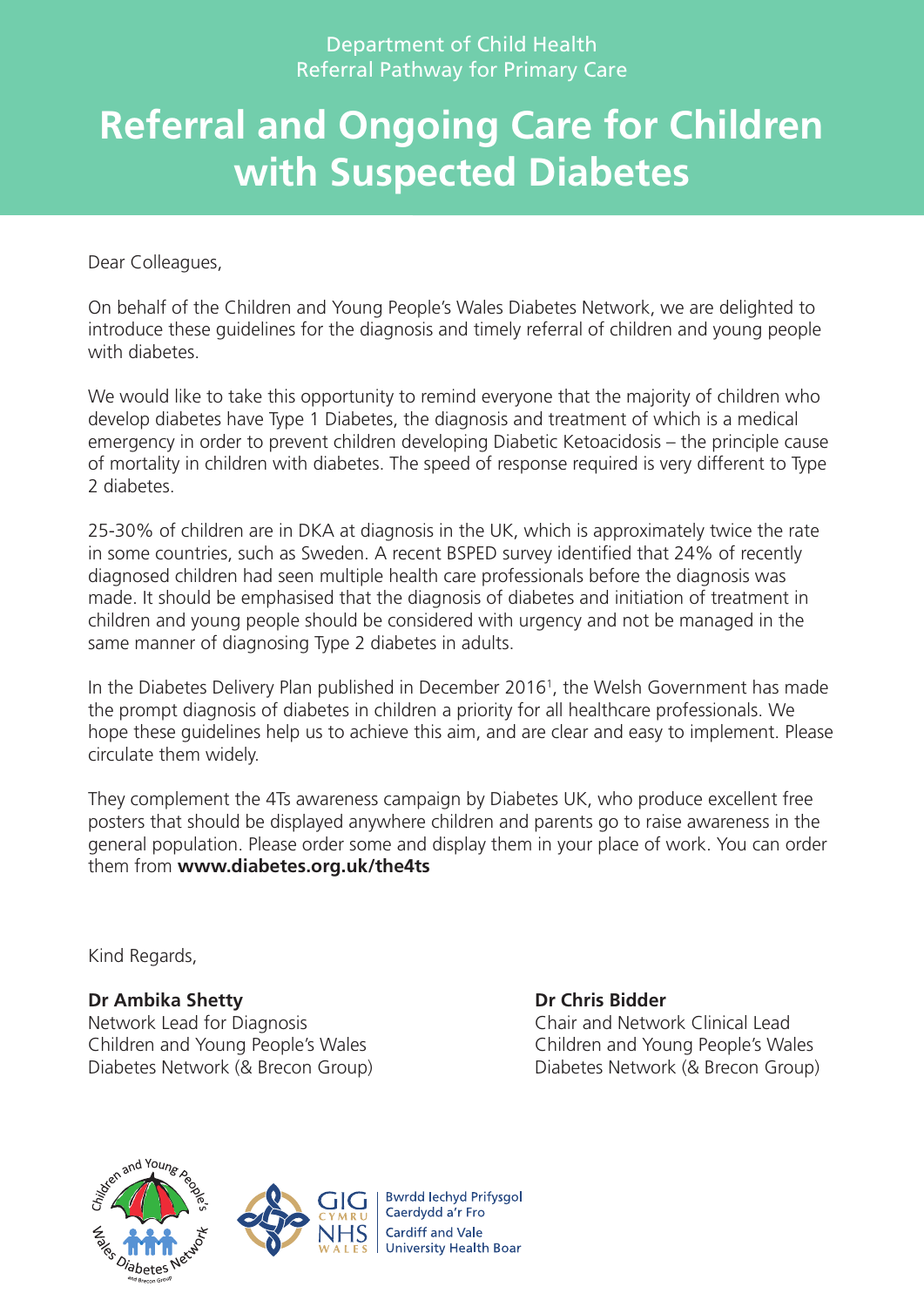# **Referral and Ongoing Care for Children with Suspected Diabetes**

Dear Colleagues,

On behalf of the Children and Young People's Wales Diabetes Network, we are delighted to introduce these guidelines for the diagnosis and timely referral of children and young people with diabetes

We would like to take this opportunity to remind everyone that the majority of children who develop diabetes have Type 1 Diabetes, the diagnosis and treatment of which is a medical emergency in order to prevent children developing Diabetic Ketoacidosis – the principle cause of mortality in children with diabetes. The speed of response required is very different to Type 2 diabetes.

25-30% of children are in DKA at diagnosis in the UK, which is approximately twice the rate in some countries, such as Sweden. A recent BSPED survey identified that 24% of recently diagnosed children had seen multiple health care professionals before the diagnosis was made. It should be emphasised that the diagnosis of diabetes and initiation of treatment in children and young people should be considered with urgency and not be managed in the same manner of diagnosing Type 2 diabetes in adults.

In the Diabetes Delivery Plan published in December 20161, the Welsh Government has made the prompt diagnosis of diabetes in children a priority for all healthcare professionals. We hope these guidelines help us to achieve this aim, and are clear and easy to implement. Please circulate them widely.

They complement the 4Ts awareness campaign by Diabetes UK, who produce excellent free posters that should be displayed anywhere children and parents go to raise awareness in the general population. Please order some and display them in your place of work. You can order them from **www.diabetes.org.uk/the4ts**

Kind Regards,

### **Dr Ambika Shetty Dr Chris Bidder**

Network Lead for Diagnosis Chair and Network Clinical Lead Children and Young People's Wales Children and Young People's Wales Diabetes Network (& Brecon Group) Diabetes Network (& Brecon Group)





**Bwrdd Iechyd Prifysgol** Caerdydd a'r Fro **Cardiff and Vale University Health Boar**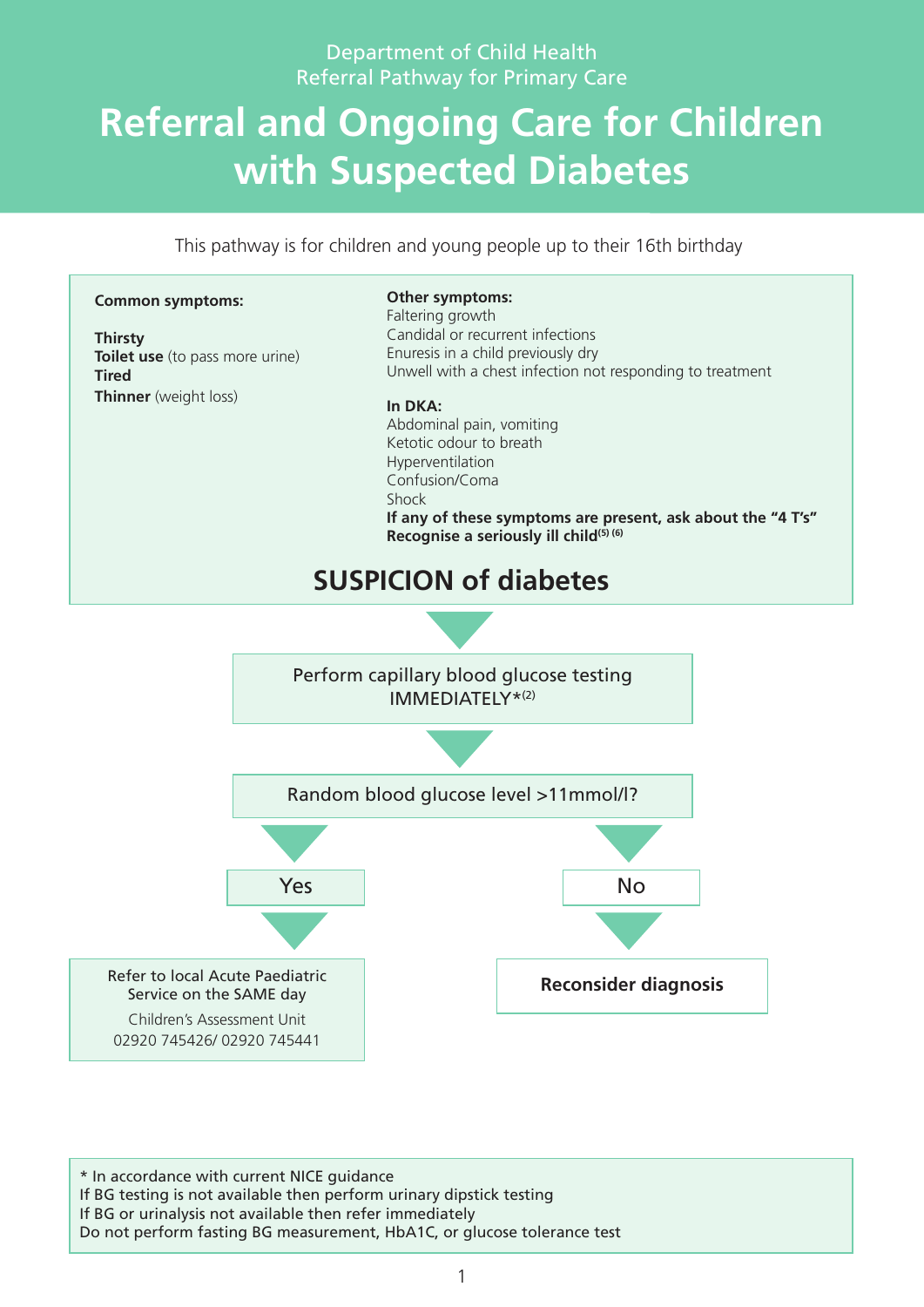# **Referral and Ongoing Care for Children with Suspected Diabetes**

This pathway is for children and young people up to their 16th birthday



\* In accordance with current NICE guidance If BG testing is not available then perform urinary dipstick testing If BG or urinalysis not available then refer immediately Do not perform fasting BG measurement, HbA1C, or glucose tolerance test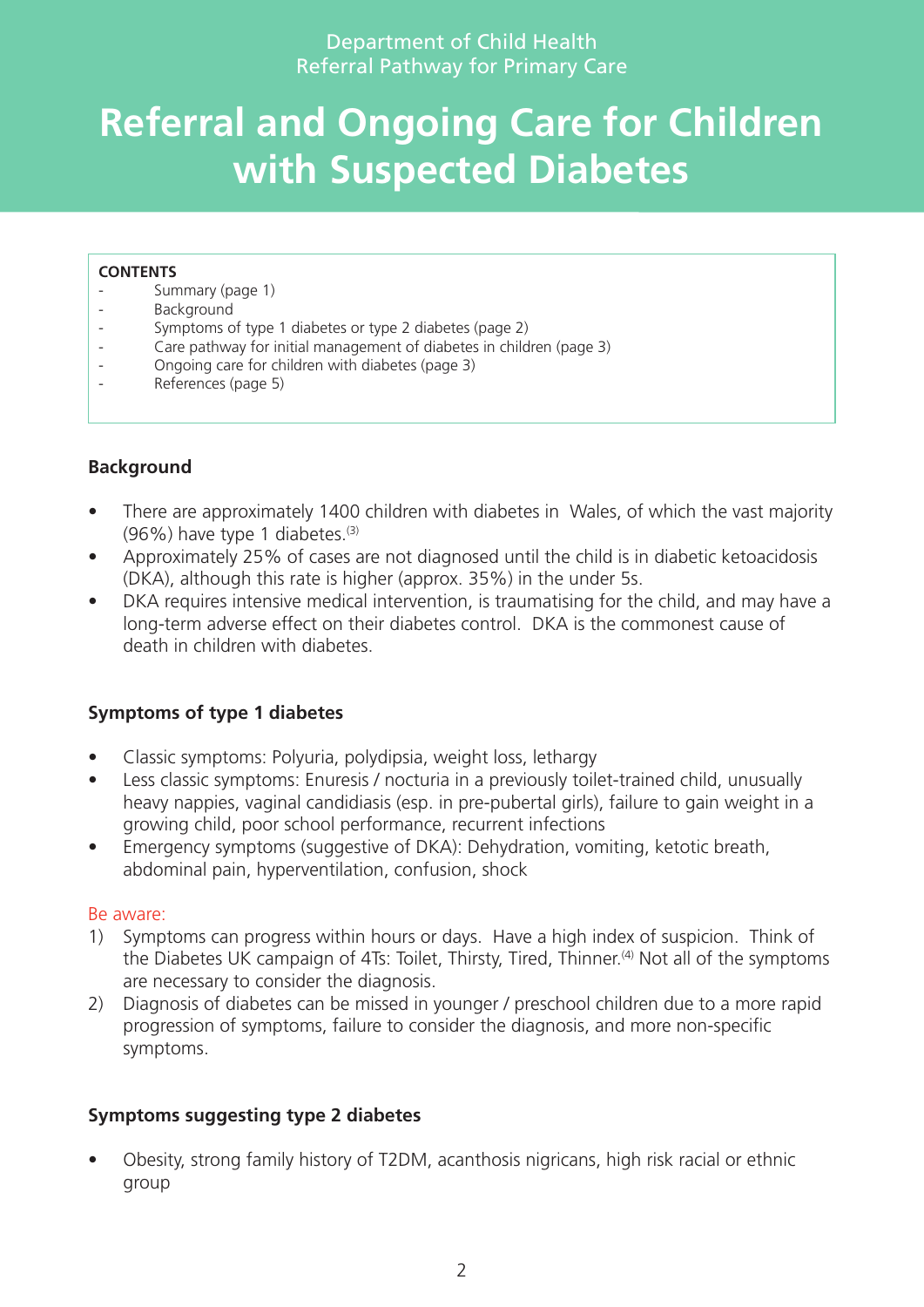# **Referral and Ongoing Care for Children with Suspected Diabetes**

#### **CONTENTS**

- Summary (page 1)
- Background
- Symptoms of type 1 diabetes or type 2 diabetes (page 2)
- Care pathway for initial management of diabetes in children (page 3)
- Ongoing care for children with diabetes (page 3)
- References (page 5)

### **Background**

- There are approximately 1400 children with diabetes in Wales, of which the vast majority  $(96%)$  have type 1 diabetes.<sup>(3)</sup>
- Approximately 25% of cases are not diagnosed until the child is in diabetic ketoacidosis (DKA), although this rate is higher (approx. 35%) in the under 5s.
- DKA requires intensive medical intervention, is traumatising for the child, and may have a long-term adverse effect on their diabetes control. DKA is the commonest cause of death in children with diabetes.

### **Symptoms of type 1 diabetes**

- Classic symptoms: Polyuria, polydipsia, weight loss, lethargy
- Less classic symptoms: Enuresis / nocturia in a previously toilet-trained child, unusually heavy nappies, vaginal candidiasis (esp. in pre-pubertal girls), failure to gain weight in a growing child, poor school performance, recurrent infections
- Emergency symptoms (suggestive of DKA): Dehydration, vomiting, ketotic breath, abdominal pain, hyperventilation, confusion, shock

#### Be aware:

- 1) Symptoms can progress within hours or days. Have a high index of suspicion. Think of the Diabetes UK campaign of 4Ts: Toilet, Thirsty, Tired, Thinner.<sup>(4)</sup> Not all of the symptoms are necessary to consider the diagnosis.
- 2) Diagnosis of diabetes can be missed in younger / preschool children due to a more rapid progression of symptoms, failure to consider the diagnosis, and more non-specific symptoms.

#### **Symptoms suggesting type 2 diabetes**

• Obesity, strong family history of T2DM, acanthosis nigricans, high risk racial or ethnic group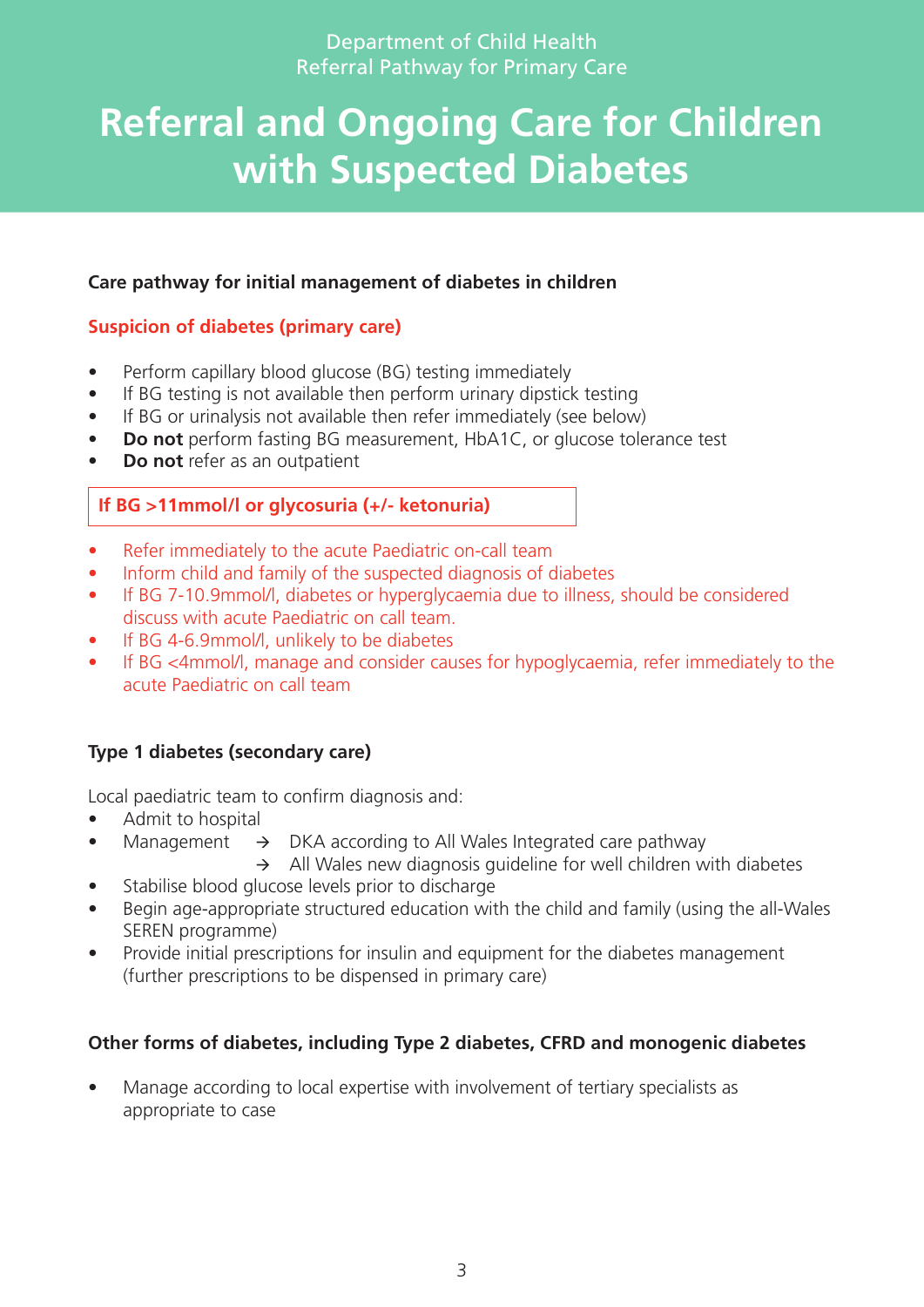# **Referral and Ongoing Care for Children with Suspected Diabetes**

### **Care pathway for initial management of diabetes in children**

### **Suspicion of diabetes (primary care)**

- Perform capillary blood glucose (BG) testing immediately
- If BG testing is not available then perform urinary dipstick testing
- If BG or urinalysis not available then refer immediately (see below)
- **Do not** perform fasting BG measurement, HbA1C, or glucose tolerance test
- **Do** not refer as an outpatient

### **If BG >11mmol/l or glycosuria (+/- ketonuria)**

- Refer immediately to the acute Paediatric on-call team
- Inform child and family of the suspected diagnosis of diabetes
- If BG 7-10.9mmol/l, diabetes or hyperglycaemia due to illness, should be considered discuss with acute Paediatric on call team.
- If BG 4-6.9mmol/l, unlikely to be diabetes
- If BG <4mmol/l, manage and consider causes for hypoglycaemia, refer immediately to the acute Paediatric on call team

### **Type 1 diabetes (secondary care)**

Local paediatric team to confirm diagnosis and:

- Admit to hospital
- Management  $\rightarrow$  DKA according to All Wales Integrated care pathway
	- $\rightarrow$  All Wales new diagnosis guideline for well children with diabetes
- Stabilise blood glucose levels prior to discharge
- Begin age-appropriate structured education with the child and family (using the all-Wales SEREN programme)
- Provide initial prescriptions for insulin and equipment for the diabetes management (further prescriptions to be dispensed in primary care)

### **Other forms of diabetes, including Type 2 diabetes, CFRD and monogenic diabetes**

• Manage according to local expertise with involvement of tertiary specialists as appropriate to case